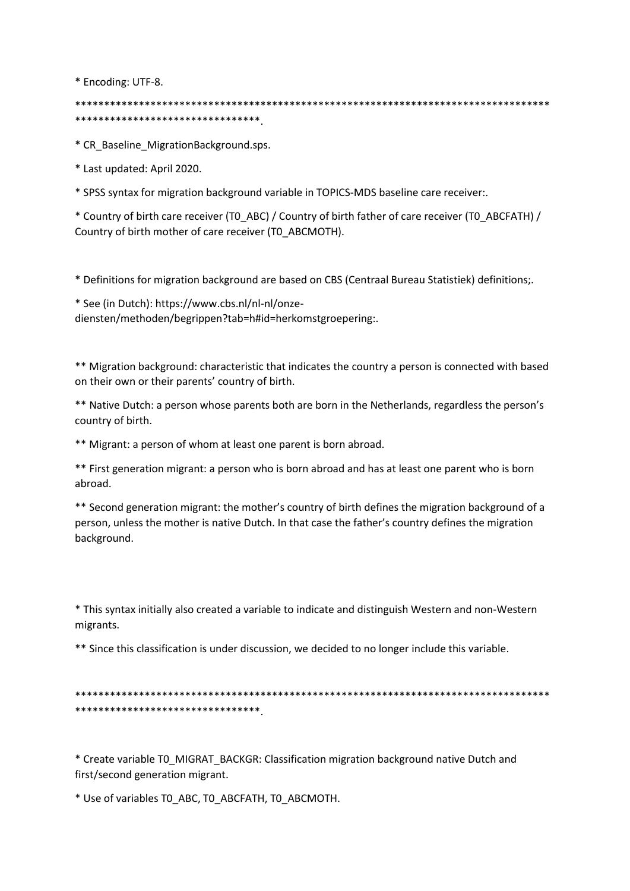\* Encoding: UTF-8.

\*\*\*\*\*\*\*\*\*\*\*\*\*\*\*\*\*\*\*\*\*\*\*\*\*\*\*\*\*\*\*\*

\* CR Baseline MigrationBackground.sps.

\* Last updated: April 2020.

\* SPSS syntax for migration background variable in TOPICS-MDS baseline care receiver:.

\* Country of birth care receiver (TO\_ABC) / Country of birth father of care receiver (TO\_ABCFATH) / Country of birth mother of care receiver (TO ABCMOTH).

\* Definitions for migration background are based on CBS (Centraal Bureau Statistiek) definitions;.

\* See (in Dutch): https://www.cbs.nl/nl-nl/onzediensten/methoden/begrippen?tab=h#id=herkomstgroepering:.

\*\* Migration background: characteristic that indicates the country a person is connected with based on their own or their parents' country of birth.

\*\* Native Dutch: a person whose parents both are born in the Netherlands, regardless the person's country of birth.

\*\* Migrant: a person of whom at least one parent is born abroad.

\*\* First generation migrant: a person who is born abroad and has at least one parent who is born abroad.

\*\* Second generation migrant: the mother's country of birth defines the migration background of a person, unless the mother is native Dutch. In that case the father's country defines the migration background.

\* This syntax initially also created a variable to indicate and distinguish Western and non-Western migrants.

\*\* Since this classification is under discussion, we decided to no longer include this variable.

\*\*\*\*\*\*\*\*\*\*\*\*\*\*\*\*\*\*\*\*\*\*\*\*\*\*\*\*\*\*\*\*

\* Create variable T0 MIGRAT BACKGR: Classification migration background native Dutch and first/second generation migrant.

\* Use of variables TO ABC, TO ABCFATH, TO ABCMOTH.